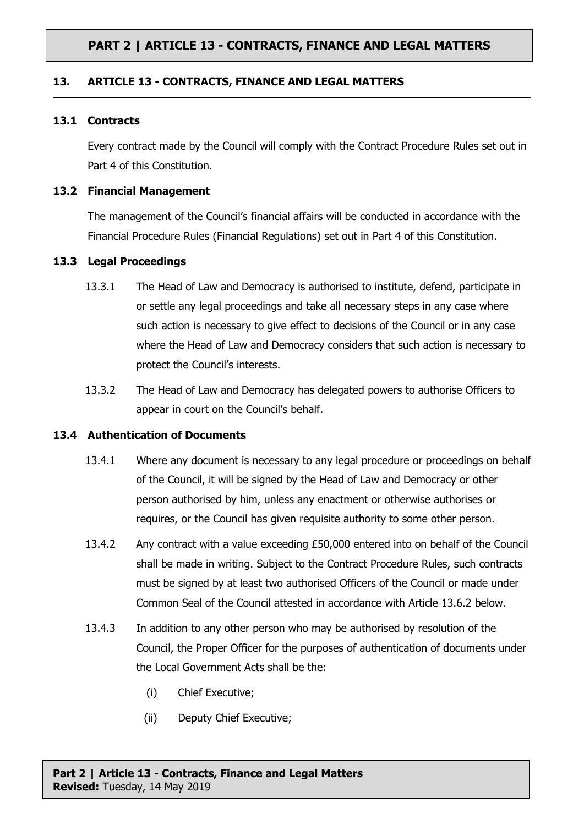## **PART 2 | ARTICLE 13 - CONTRACTS, FINANCE AND LEGAL MATTERS**

## **13. ARTICLE 13 - CONTRACTS, FINANCE AND LEGAL MATTERS**

#### **13.1 Contracts**

Every contract made by the Council will comply with the Contract Procedure Rules set out in Part 4 of this Constitution.

### **13.2 Financial Management**

The management of the Council's financial affairs will be conducted in accordance with the Financial Procedure Rules (Financial Regulations) set out in Part 4 of this Constitution.

## **13.3 Legal Proceedings**

- 13.3.1 The Head of Law and Democracy is authorised to institute, defend, participate in or settle any legal proceedings and take all necessary steps in any case where such action is necessary to give effect to decisions of the Council or in any case where the Head of Law and Democracy considers that such action is necessary to protect the Council's interests.
- 13.3.2 The Head of Law and Democracy has delegated powers to authorise Officers to appear in court on the Council's behalf.

#### **13.4 Authentication of Documents**

- 13.4.1 Where any document is necessary to any legal procedure or proceedings on behalf of the Council, it will be signed by the Head of Law and Democracy or other person authorised by him, unless any enactment or otherwise authorises or requires, or the Council has given requisite authority to some other person.
- 13.4.2 Any contract with a value exceeding £50,000 entered into on behalf of the Council shall be made in writing. Subject to the Contract Procedure Rules, such contracts must be signed by at least two authorised Officers of the Council or made under Common Seal of the Council attested in accordance with Article 13.6.2 below.
- 13.4.3 In addition to any other person who may be authorised by resolution of the Council, the Proper Officer for the purposes of authentication of documents under the Local Government Acts shall be the:
	- (i) Chief Executive;
	- (ii) Deputy Chief Executive;